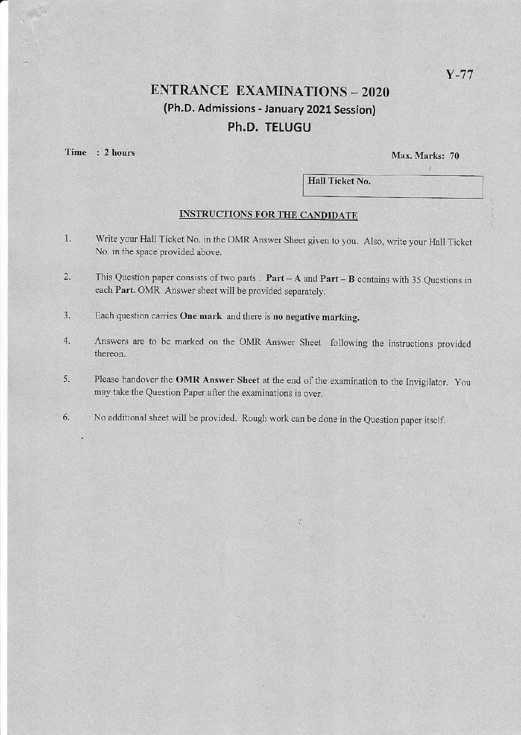## **ENTRANCE EXAMINATIONS - 2020** (Ph.D. Admissions - January 2021 Session) Ph.D. TELUGU

Time : 2 hours

Max. Marks: 70

Hall Ticket No.

#### **INSTRUCTIONS FOR THE CANDIDATE**

- Write your Hall Ticket No. in the OMR Answer Sheet given to you. Also, write your Hall Ticket  $1.$ No. in the space provided above.
- This Question paper consists of two parts :  $Part A$  and  $Part B$  contains with 35 Questions in  $2.$ each Part. OMR Answer sheet will be provided separately.
- 3. Each question carries One mark and there is no negative marking.
- Answers are to be marked on the OMR Answer Sheet following the instructions provided 4. thereon.
- Please handover the OMR Answer Sheet at the end of the examination to the Invigilator. You 5. may take the Question Paper after the examinations is over.
- No additional sheet will be provided. Rough work can be done in the Question paper itself. 6.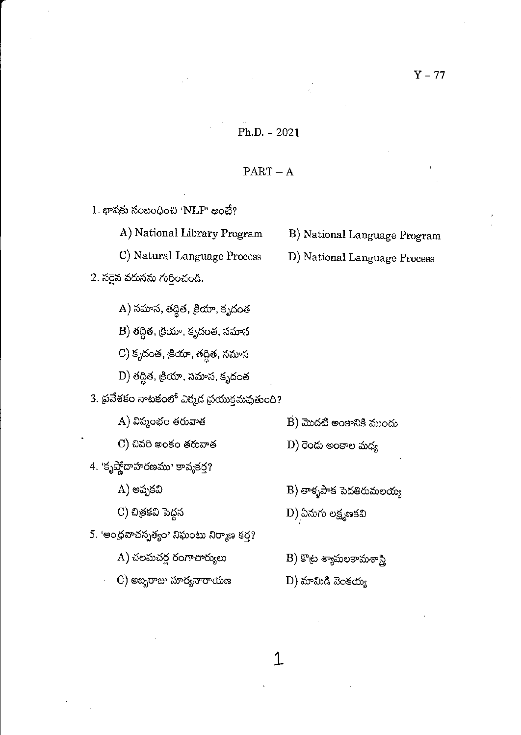#### $Ph.D. - 2021$

#### $PART - A$

1. భాషకు సంబంధించి 'NLP' అంటే? A) National Library Program B) National Language Program C) Natural Language Process D) National Language Process 2. సరైన వరుసను గుర్తించండి. A) సమాస, తద్దిత, <sub>క్ర</sub>ియా, కృదంత B) తద్దిత, <sub>క్ర</sub>ియా, కృదంత, సమాస C) కృదంత, ట్రియా, తద్దిత, సమాస D) తద్దిత, <sub>క్ర</sub>ియా, సమాస, కృదంత 3. ప్రవేశకం నాటకంలో ఎక్మడ ప్రయుక్తమవుతుంది? A) విష్మంభం తరువాత  $\overline{B}$ ) మొదటి అంకానికి ముందు C) చివరి అంకం తరువాత  $\text{D}$ ) రెండు అంకాల మధ్య 4. 'కృష్ణోదాహరణము' కావ్యకర్త? A) అప్పకవి  $B$ ) తాళ్ళపాక పెదతిరుమలయ్య C) చిత్రకవి పెద్దన  $\ket{\text{D}}$  ఏనుగు లక్ష్మణకవి 5. 'అంధవాచస్పత్యం' నిఘంటు నిర్మాణ కర్త? A) చలమచర్ల రంగాచార్యులు  $\ket{\text{B}}$  కొట్ల శ్యామలకామశాస్త్రి

C) అబ్బరాజు సూర్యనారాయణ  $D)$  మామిడి వెంకయ్య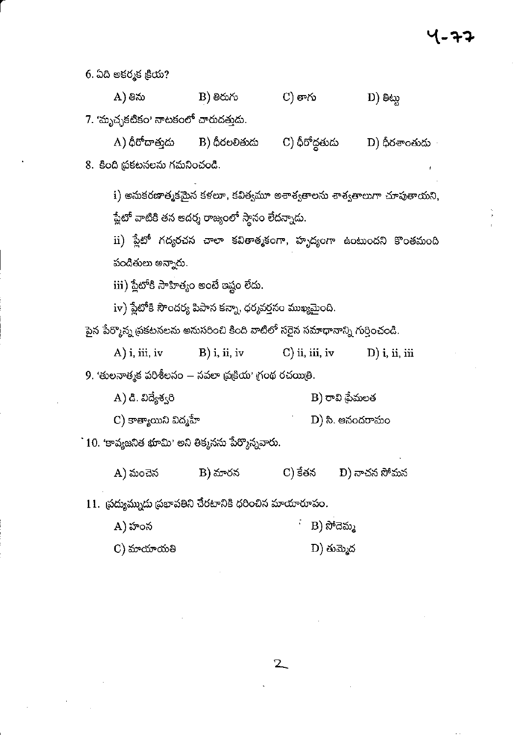6. ఏది అకర్మక క్రియ?

 $B)$  తిరుగు  $C)$  తాగు A) తిను  $\mathbf{D}$ ) මහා

7. 'మృచ్ఛకటికం' నాటకంలో చారుదత్తుడు.

 $\mathbf C$ ) ధీరోద్దతుడు A) ధీరోదాత్తుడు B) ధీరలలితుడు D) ధీరశాంతుడు 8. కింది ప్రకటనలను గమనించండి.

 $\mathbf i$ ) అనుకరణాత్మకమైన కళలూ, కవిత్వమూ అశాశ్వతాలను శాశ్వతాలుగా చూపుతాయని, ప్లేటో వాటికి తన ఆదర్శ రాజ్యంలో స్థానం లేదన్నాడు.

ii) ప్లేటో గద్యరచన చాలా కవితాత్మకంగా, హృద్యంగా ఉంటుందని కొంతమంది పండితులు అన్నారు.

 $\,$ iii) ప్లేటోకి సాహిత్యం అంటే ఇష్టం లేదు.

iv) ప్లేటోకి సౌందర్య పిపాస కన్నా, ధర్మవర్తనం ముఖ్యమైంది.

పైన పేర్మొన్న ప్రకటనలను అనుసరించి కింది వాటిలో సరైన సమాధానాన్ని గుర్తించండి.

 $A)$  i, iii, iv  $B)$  i, ii, iv  $C$ ) ii, iii, iv  $\mathbf{D}$ ) i, ii, iii

9. 'తులనాత్మక పరిశీలనం – నవలా ప్రక్రియ' గ్రంథ రచయితి.

| A) డి. విద్యేశ్వరి | B) రావి థేమలత |
|--------------------|---------------|
|                    |               |

 $\mathbf C$ ) కాత్యాయిని విద్మహే  $D)$  సి. ఆనందరామం

`10. 'కావ్యజనిత భూమి' అని తిక్కనను పేర్కొన్నవారు.

B) మారన C) కేతన A) మంచెన D) నాచన సోమన

 $11.$  బ్రద్యుమ్నుడు ప్రభావతిని చేరటానికి ధరించిన మాయారూపం.

- B) ನಿ್ದಮ್ಮ A) హంస
- $D)$  తుమ్మెద C) మాయాయతి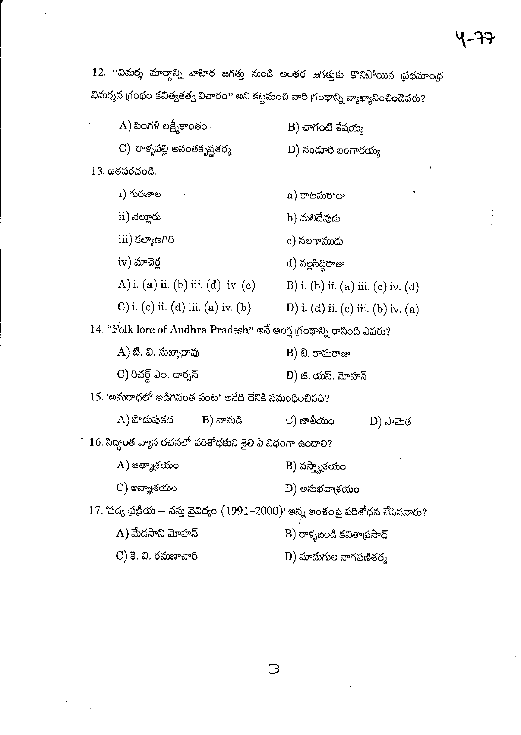12. ''విమర్శ మార్గాన్ని బాహిర జగత్తు నుండి అంతర జగత్తుకు కొనిపోయిన ప్రథమాంధ విమర్శన గ్రంథం కవిత్వతత్వ విచారం'' అని కట్టమంచి వారి గ్రంథాన్ని వ్యాఖ్యానించిందెవరు?

| $(A)$ పింగళి లక్ష్మీకాంతం          | B) చాగంటి శేషయ్య                   |
|------------------------------------|------------------------------------|
| C) రాళ్ళపల్లి అనంతకృష్ణశర్మ        | D) నందూరి బంగారయ్య                 |
| 13. జతపరచండి.                      |                                    |
| i) గురజాల                          | ٠<br>a) కాటమరాజు                   |
| ii) నెల్తూరు                       | b) మలిదేవుడు                       |
| iii) కల్యాణగిరి                    | c) నలగాముడు                        |
| iv) మాచెర్ల                        | d) నల్లసిద్ధిరాజు                  |
| A) i. (a) ii. (b) iii. (d) iv. (c) | B) i. (b) ii. (a) iii. (c) iv. (d) |
| C) i. (c) ii. (d) iii. (a) iv. (b) | D) i. (d) ii. (c) iii. (b) iv. (a) |
|                                    |                                    |

14. "Folk lore of Andhra Pradesh" అనే ఆంగ్ల గ్రంథాన్ని రాసింది ఎవరు?

| A) టి. వి. సుబ్బారావు  | B) బి. రామరాజు    |
|------------------------|-------------------|
| C) రిచర్డ్ ఎం. డార్నన్ | D) జి. యస్. మోహన్ |

 $15.$  'అనురాధలో అడిగినంత పంట' అనేది దేనికి సమంధించినది?

| A) పొదుపుకథ | B) నానుడి | $\mathbf C$ ) జాతీయం | $D)$ ನೌಮಿತ |
|-------------|-----------|----------------------|------------|
|-------------|-----------|----------------------|------------|

` 16. సిద్ధాంత వ్యాస రచనలో పరిశోధకుని శైలి ఏ విధంగా ఉందాలి?

| A) ఆత్మాశ్రయం | B) వస్త్వాశయం |
|---------------|---------------|
| $\sim$        |               |

C) అన్యాశయం  $D)$  అనుభవా $e$ రయం

17. 'పద్య ద్రుకియ — వస్తు వైవిధ్యం  $(1991–2000)$ ' అన్న అంశంపై పరిశోధన చేసినవారు?

| A) మేదసాని మోహన్    | B) రాళ్ళబండి కవితా <sub>l</sub> పసాద్ |
|---------------------|---------------------------------------|
| C) కె. వి. రమణాచారి | $\mathbf{D})$ మాదుగుల నాగఫణిశర్మ      |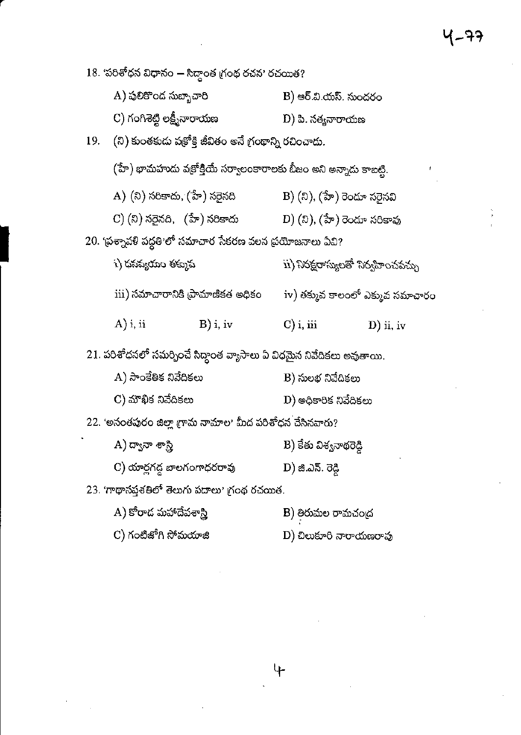18. 'పరిశోధన విధానం — సిద్ధాంత గ్రంథ రచన' రచయిత?

| A) పులికొంద సుబ్బాచారి      | B) ఆర్.వి.యస్. సుందరం |
|-----------------------------|-----------------------|
| C) గంగిశెట్టి లక్ష్మీనారాయణ | D) పి. సత్యనారాయణ     |

(ని) కుంతకుదు వక్రోక్తి జీవితం అనే గ్రంథాన్ని రచించాదు. 19.

 $(\mathbf{\hat{\vec{\delta}^v}})$  భామహుదు వజ్రోక్తియే సర్వాలంకారాలకు బీజం అని అన్నాదు కాబట్టి.

| A) (ని) సరికాదు, (హే) సరైనది | B) (ని), (హే) రెండూ సరైనవి               |
|------------------------------|------------------------------------------|
| C) (ని) నరైనది, (హే) నరికాదు | $\left(D\right)(2)$ , (హే) రెండూ సరికావు |

20. 'ప్రశ్నావళి పద్ధతి'లో సమాచార సేకరణ వలన ప్రయోజనాలు ఏవి?

| i) ధనవ్యయం తక్కువ |                                   |              | ii) నిరక్షరాస్యలతో నిర్వహించవచ్చు |
|-------------------|-----------------------------------|--------------|-----------------------------------|
|                   | iii) సమాచారానికి ప్రామాణికత అధికం |              | iv) తక్కువ కాలంలో ఎక్కువ సమాచారం  |
| $A)$ i, ii        | $B)$ i, iv                        | $C$ ) i, iii | $D)$ ii, iv                       |

21. పరిశోధనలో సమర్పించే సిద్ధాంత వ్యాసాలు ఏ విధమైన నివేదికలు అవుతాయి.

| A) సాంకేతిక నివేదికలు | B) సులభ నివేదికలు                |
|-----------------------|----------------------------------|
| C) మౌఖిక నివేదికలు    | $\mathbf D$ ) అధికారిక నివేదికలు |

22. 'అనంతపురం జిల్లా గ్రామ నామాల' మీద పరిశోధన చేసినవారు?

- $A$ ) ద్వానా శాస్త్రి B) కేతు విశ్వనాథరెడ్డి
- C) యార్లగద్ద బాలగంగాధరరావు D) జి.ఎస్. రెడ్డి

 $23.$  'గాథాసప్తశతిలో తెలుగు పదాలు' గ్రంథ రచయిత.

- A) కోరాద మహాదేవశాస్త్రి B) తిరుమల రామచంద్ర
- $\mathbf C$ ) గంటిజోగి సోమయాజి D) చిలుకూరి నారాయణరావు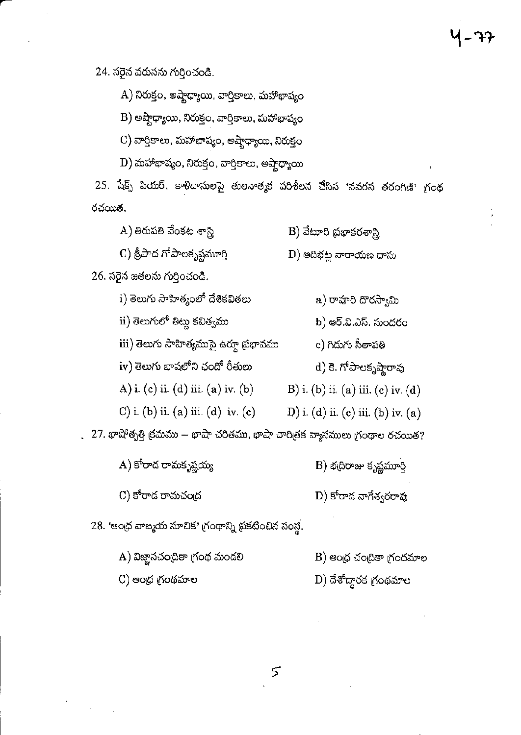24. సరైన వరుసను గుర్తించండి.

A) నిరుక్తం, అష్టాధ్యాయి, వార్తికాలు, మహాభాష్యం

B) అష్టాధ్యాయి, నిరుక్తం, వార్తికాలు, మహాభాష్యం

 $\mathbf C$ ) వార్తికాలు, మహాభాష్యం, అష్టాధ్యాయి, నిరుక్తం

D) మహాభాష్యం, నిరుక్తం, వార్తికాలు, అష్టాధ్యాయి

25. షేక్స్ పియర్, కాళిదాసులపై తులనాత్మక పరిశీలన చేసిన 'నవరస తరంగిణి' గ్రంథ రచయిత.

A) తిరుపతి వేంకట శాస్త్రి B) వేటూరి ప్రభాకరశాస్త్రి

C) శ్రీపాద గోపాలకృష్ణమూర్తి

26. సరైన జతలను గుర్తించండి.

- i) తెలుగు సాహిత్యంలో దేశికవితలు a) రావూరి దొరస్వామి
- ii) తెలుగులో తిట్టు కవిత్వము

iii) తెలుగు సాహిత్యముపై ఉర్గూ ప్రభావము

iv) తెలుగు భాషలోని ఛందో రీతులు

A) i. (c) ii. (d) iii. (a) iv. (b)

- C) i. (b) ii. (a) iii. (d) iv. (c)
- 27. భాషోత్పత్తి క్రమము భాషా చరితము, భాషా చారిత్రక వ్యాసములు గ్రంథాల రచయిత?

A) కోరాద రామకృష్ణయ్య

C) కోరాడ రామచంద్ర

 $\mathbf B$ ) భ(దిరాజు కృష్ణమూర్తి

b) ఆర్.వి.ఎస్. సుందరం

d) కె. గోపాలకృష్ణారావు

B) i. (b) ii. (a) iii. (c) iv. (d)

D) i. (d) ii. (e) iii. (b) iv. (a)

c) గిదుగు సీతాపతి

 $\ket{D}$  ఆదిభట్ల నారాయణ దాసు

D) కోరాడ నాగేశ్వరరావు

 $28.$  'ఆంధ్ర వాజ్మయ సూచిక' గ్రంథాన్ని ప్రకటించిన సంస్థ.

- A) విజ్ఞానచంద్రికా గ్రంథ మండలి  $B)$  ఆంధ్ర చందికా గ్రంథమాల
- $\mathbf D)$  దేశోద్ధారక గ్రంథమాల C) ఆంధ్ర గ్రంథమాల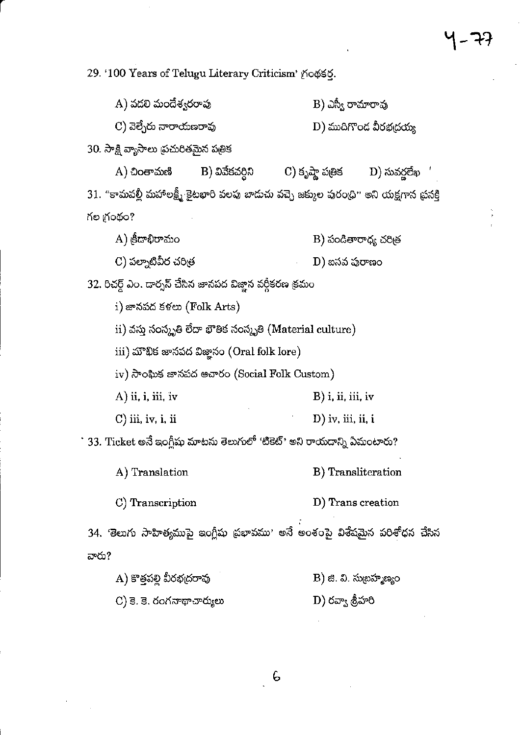29. '100 Years of Telugu Literary Criticism' (Λοφές.

|                                        | A) వడలి మందేశ్వరరావు                                       |                                                                                        | $B$ ) ఎస్వీ రామారావు   |  |
|----------------------------------------|------------------------------------------------------------|----------------------------------------------------------------------------------------|------------------------|--|
|                                        | C) వెల్చేరు నారాయణరావు                                     |                                                                                        | D) ముదిగొండ వీరభద్రయ్య |  |
| 30. సాక్షి వ్యాసాలు ప్రచురితమైన పత్రిక |                                                            |                                                                                        |                        |  |
| A) చింతామణి                            | B) వివేకవర్దిని                                            | C) కృష్ణా పత్రిక         D) సువర్ణలేఖ   '                                              |                        |  |
|                                        |                                                            | 31. "కామవల్లీ మహాలక్ష్మీ కైటభారి వలపు బాదుచు వచ్చె జక్కుల పురంధి" అని యక్షగాన ప్రసక్తి |                        |  |
| గల గ్రంథం?                             |                                                            |                                                                                        |                        |  |
| A) క్రీడాభిరామం                        |                                                            |                                                                                        | B) పండితారాధ్య చరిత్ర  |  |
| C) పల్నాటివీర చరిత్ర                   |                                                            | D) బసవ పురాణం                                                                          |                        |  |
|                                        | 32. రిచర్డ్ ఎం. దార్నన్ చేసిన జానపద విజ్ఞాన వర్గీకరణ క్రమం |                                                                                        |                        |  |
|                                        | i) జానపద కళలు (Folk Arts)                                  |                                                                                        |                        |  |
|                                        |                                                            | ii) వస్తు సంస్కృతి లేదా భౌతిక సంస్కృతి (Material culture)                              |                        |  |
|                                        | iii) మౌఖిక జానపద విజ్ఞానం (Oral folk lore)                 |                                                                                        |                        |  |
|                                        | $\rm iv)$ సాంఘిక జానపద అచారం (Social Folk Custom)          |                                                                                        |                        |  |
| $(A)$ ii, i, iii, iv                   |                                                            | $B)$ i, ii, iii, iv                                                                    |                        |  |
| C) iii, iv, i, ii                      |                                                            | $\mathbf{D}$ ) iv, iii, ii, i                                                          |                        |  |
|                                        |                                                            | 33. Ticket అనే ఇంగ్లీషు మాటను తెలుగులో 'టికెట్' అని రాయడాన్ని ఏమంటారు?                 |                        |  |
| A) Translation                         |                                                            | B) Transliteration                                                                     |                        |  |
| C) Transcription                       |                                                            | D) Trans creation                                                                      |                        |  |
|                                        |                                                            | 34. 'తెలుగు సాహిత్యముపై ఇంగ్లీషు ప్రభావము' అనే అంశంపై విశేషమైన పరిశోధన చేసిన           |                        |  |
| వారు?                                  |                                                            |                                                                                        |                        |  |
| A) కొత్తపల్లి వీరభద్రరావు              |                                                            | B) జి. వి. సుబ్రహ్మణ్యం                                                                |                        |  |
| C) కె. కె. రంగనాథాచార్యులు             |                                                            | D) రవ్వా శ్రీహరి                                                                       |                        |  |

 $\epsilon$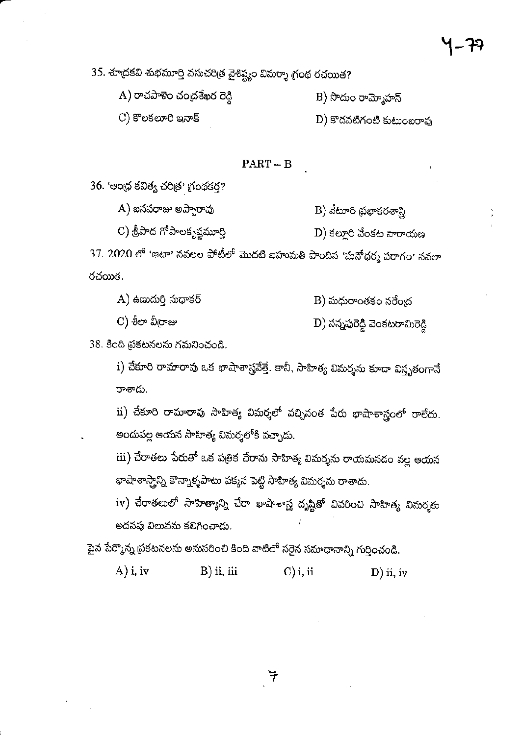35. తాద్రకవి శుభమూర్తి వసుచరిత్ర వైశిష్ట్యం విమర్శా గ్రంథ రచయిత?

 $\mathbf{A}$ ) రాచపాళెం చంద్రశేఖర రెడ్డి  $B)$  సొదుం రామ్మోహన్

C) కొలకలూరి ఇనాక్

 $D)$  కొడవటిగంటి కుటుంబరావు

#### $PART - B$

36. 'అంద్ర కవిత్వ చరిత్ర' గ్రంథకర?

 $(A)$  బసవరాజు అప్పారావు B) వేటూరి ప్రభాకరశాస్త్రి

C) శ్రీపాద గోపాలకృష్ణమూర్తి  $D$ ) కల్లూరి వేంకట నారాయణ

37. 2020 లో 'ఆటా' నవలల పోటీలో మొదటి బహుమతి పొందిన 'మనోధర్మ పరాగం' నవలా రచయిత.

| A) ఉణుదురి సుధాకర్ | B) మధురాంతకం నరేం <sub>ట</sub>  |
|--------------------|---------------------------------|
| C) శీలా వీరాజు     | D) సన్నపురెడ్డి వెంకటరామిరెడ్డి |

38. కింది ప్రకటనలను గమనించండి.

i) చేకూరి రామారావు ఒక భాషాశాస్త్రవేత్తే. కానీ, సాహిత్య విమర్శను కూడా విస్తృతంగానే రాశాడు.

ii) చేకూరి రామారావు సాహిత్య విమర్శలో వచ్చినంత పేరు భాషాశాస్త్రంలో రాలేదు. అందువల్ల ఆయన సాహిత్య విమర్శలోకి వచ్చాడు.

iii) చేరాతలు పేరుతో ఒక పత్రిక చేరాను సాహిత్య విమర్శను రాయమనడం వల్ల ఆయన భాషాశాస్త్రాన్ని కొన్నాళ్ళపాటు పక్కన పెట్టి సాహిత్య విమర్శను రాశాదు.

iv) చేరాతలులో సాహిత్యాన్ని చేరా భాషాశాస్త్ర దృష్టితో వివరించి సాహిత్య విమర్శకు అదనపు విలువను కలిగించాడు.

పైన పేర్మొన్న ప్రకటనలను అనుసరించి కింది వాటిలో సరైన సమాధానాన్ని గుర్తించండి.

 $A)$  i, iv  $B)$  ii, iii  $C$ ) i, ii  $D$ ) ii, iv

 $\, \exists$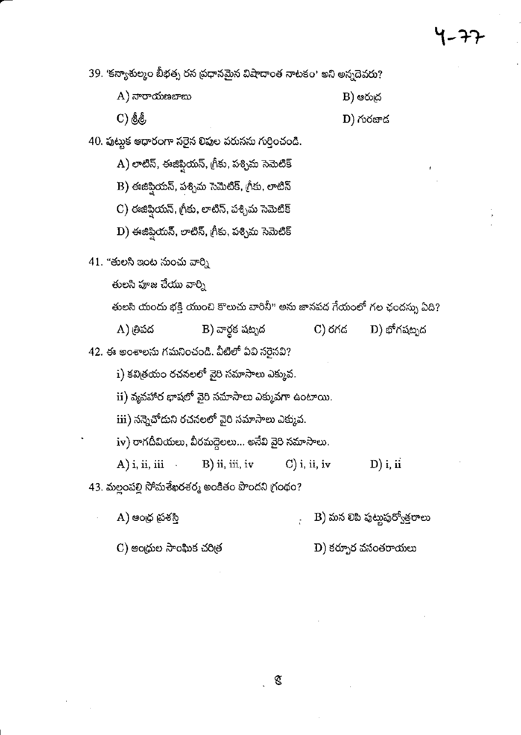39. 'కన్యాశుల్మం బీభత్స రస ప్రధానమైన విషాదాంత నాటకం' అని అన్నదెవరు?

| A) నారాయణబాబు | B) ఆరుద్ర |
|---------------|-----------|
|---------------|-----------|

C) & &

 $D)$  గురజాద

40. పుట్టుక ఆధారంగా సరైన లిపుల వరుసను గుర్తించండి.

 $\overline{\mathrm{A}}$ ) లాటిన్, ఈజిప్షియన్, గ్రీకు, పశ్చిమ సెమెటిక్

 $\mathbf B$ ) ఈజిప్షియన్, పశ్చిమ సెమెటిక్, గ్రీకు, లాటిన్

 $\mathbf C$ ) ఈజీప్షియన్, గ్రీకు, లాటిన్, పశ్చిమ సెమెటిక్

 $\mathbf D$ ) ఈజిప్షియన్, లాటిన్, గీకు, పశ్చిమ సెమెటిక్

41. "తులసి ఇంట నుంచు వార్ని

తులసి పూజ చేయు వార్ని

తులసి యందు భక్తి యుంచి కొలుచు వారినీ" అను జానపద గేయంలో గల ఛందస్సు ఏది?

D) భోగషట్నద A) త్రిపద B) వార్ధక షట్పద C) රුර

42. ఈ అంశాలను గమనించండి. వీటిలో ఏవి సరైనవి?

 $i)$  కవిత్రయం రచనలలో వైరి సమాసాలు ఎక్కువ.

 $\,$ ii) వ్యవహార భాషలో వైరి సమాసాలు ఎక్కువగా ఉంటాయి.

iii) నన్నెచోదుని రచనలలో వైరి సమాసాలు ఎక్కువ.

iv) రాగదీవియలు, వీరమద్దెలలు… అనేవి వైరి సమాసాలు.

B) ii, iii, iv  $C$ ) i, ii, iv  $(A)$  i, ii, iii  $D)$  i, ii

43. మల్లంపల్లి సోమశేఖరశర్మ అంకితం పొందని గ్రంథం?

B) మన లిపి పుట్టుపుర్వోత్తరాలు A) ఆంధ్ర ప్రశస్తి

C) ఆంధ్రుల సాంఘిక చరిత్ర

 $\mathbf D)$  కర్పూర వసంతరాయలు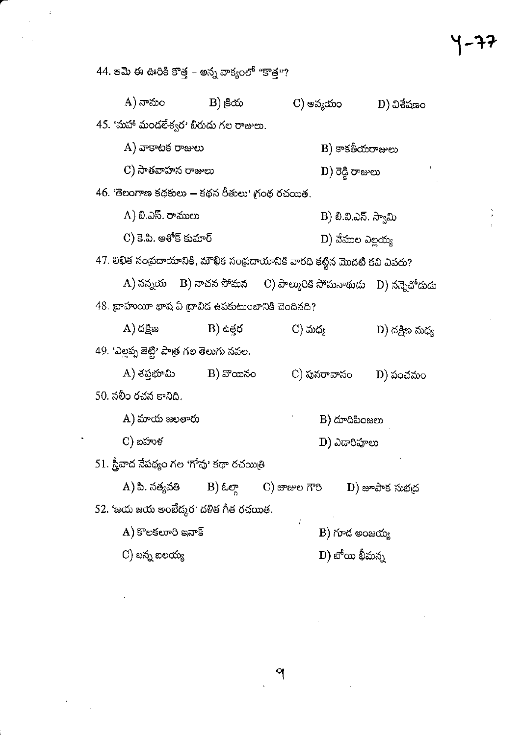B) <sub>ලී</sub>රා A) నామం C) అవ్యయం D) విశేషణం 45. 'మహా మండలేశ్వర' బిరుదు గల రాజులు.  $\rm A)$  వాకాటక రాజులు  $\mathbf B$ ) కాకతీయరాజులు C) సాతవాహన రాజులు  $\left( \mathrm{D}\right)$  రెడ్డి రాజులు 46. 'తెలంగాణ కథకులు – కథన రీతులు' గ్రంథ రచయిత. A) బి.ఎస్. రాములు B) బి.వి.ఎన్. స్వామి C) కె.పి. అశోక్ కుమార్ D) వేముల ఎల్లయ్య 47. లిఖిత సంప్రదాయానికి, మౌఖిక సంప్రదాయానికి వారధి కట్టిన మొదటి కవి ఎవరు? A) నన్నయ C) పాల్మురికి సోమనాథుడు D) నన్నెచోదుడు B) నాచన సోమన 48. బ్రాహుయీ భాష ఏ ద్రావిద ఉపకుటుంబానికి చెందినది? A) దక్షిణ  $B)$  ఉత్తర C) మధ్య D) దక్షిణ మధ్య 49. 'ఎల్లప్ప జెట్టి' పాత్ర గల తెలుగు నవల. A) శప్తభూమి  $B)$  వొయినం C) పునరావాసం D) పంచమం 50. సలీం రచన కానిది. A) మాయ జలతారు  $\mathbf B$ ) దూదిపింజలు C) బహుళ D) ఎడారిపూలు 51. స్త్రీవాద నేపథ్యం గల 'గోవు' కథా రచయిత్రి A) పి. సత్యవతి B) ఓల్గా  $C)$  జాజుల గౌరి  $\mathbf D)$  జూపాక సుభ $\mathfrak a$ ద 52. 'జయ జయ అంబేద్కర' దళిత గీత రచయిత.  $\bm{\mathrm{A}}$ ) కొలకలూరి ఇనాక్  $\mathbf B$ ) గూడ అంజయ్య D) బోయి భీమన్న  $\mathrm{C}$ ) బన్న ఐలయ్య

44. ఆమె ఈ ఊరికి కొత్త – అన్న వాక్యంలో "కొత్త"?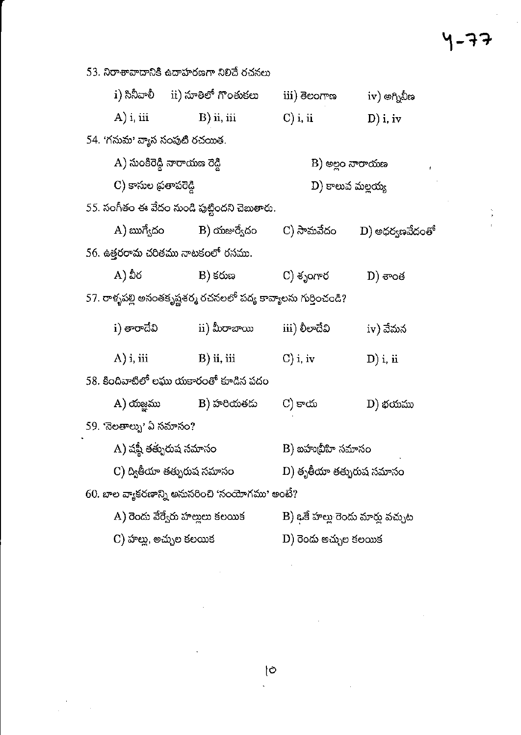## 4-77

 $\frac{E_{\rm{max}}}{E_{\rm{max}}}$ 

 $\mathcal{L}(\mathcal{L})$  and  $\mathcal{L}(\mathcal{L})$  . In the  $\mathcal{L}(\mathcal{L})$ 

 $\sim$   $\sim$ 

 $\frac{1}{\sqrt{2}}$ 

| 53. నిరాశావాదానికి ఉదాహరణగా నిలిచే రచనలు       |                                            |                                                                 |                                  |                 |  |  |
|------------------------------------------------|--------------------------------------------|-----------------------------------------------------------------|----------------------------------|-----------------|--|--|
|                                                |                                            | i) సినీవాలీ      ii) నూతిలో గొంతుకలు                            | iii) ತಲಂಗ್ <b>ಣ</b>              | $iv)$ అగ్నివీణ  |  |  |
|                                                | $(A)$ i, iii                               | $B)$ ii, iii                                                    | $\mathbf{C}$ ) i, ii             | $D)$ i, iv      |  |  |
|                                                | 54. 'గనుమ' వ్యాస సంపుటి రచయిత.             |                                                                 |                                  |                 |  |  |
|                                                | A) సుంకిరెడ్డి నారాయణ రెడ్డి               |                                                                 | B) అల్లం నారాయణ                  |                 |  |  |
|                                                | C) కాసుల ప్రతాపరెడ్డి                      |                                                                 | D) కాలువ మల్లయ్య                 |                 |  |  |
|                                                |                                            | 55. సంగీతం ఈ వేదం నుండి పుట్టిందని చెబుతారు.                    |                                  |                 |  |  |
|                                                |                                            | A) ఋగ్వేదం           B) యజుర్వేదం         C) సామవేదం            |                                  | D) అధర్వణవేదంతో |  |  |
|                                                |                                            | 56. ఉత్తరరామ చరితము నాటకంలో రసము.                               |                                  |                 |  |  |
|                                                | $(A)$ వీర $\in$                            | B) కరుణ                                                         | C) శృంగార                        | $D)$ ಕೌಂತ       |  |  |
|                                                |                                            | 57. రాళ్ళపల్లి అనంతకృష్ణశర్మ రచనలలో పద్య కావ్యాలను గుర్తించండి? |                                  |                 |  |  |
|                                                | i) తారాదేవి                                | ii) మీరాబాయి                                                    | iii) లీలాదేవి                    | iv) వేమన        |  |  |
|                                                | $(A)$ i, iii                               | $\mathbf{B}$ ) ii, iii                                          | $C)$ i, iv                       | $D)$ i, ii      |  |  |
| 58. కిందివాటిలో లఘు యకారంతో కూడిన పదం          |                                            |                                                                 |                                  |                 |  |  |
|                                                |                                            | A) యజ్ఞము            B) హరియతదు                                 | C) కాయ                           | D) భయము         |  |  |
| 59. 'నెలతాల్ను' ఏ సమాసం?                       |                                            |                                                                 |                                  |                 |  |  |
| A) షష్టీ తత్పురుష సమాసం                        |                                            | B) బహుబీహి సమాసం                                                |                                  |                 |  |  |
|                                                | C) ద్వితీయా తత్పురుష సమాసం                 |                                                                 | D) తృతీయా తత్పురుష సమాసం         |                 |  |  |
| 60. బాల వ్యాకరణాన్ని అనుసరించి 'సంయోగము' అంటే? |                                            |                                                                 |                                  |                 |  |  |
|                                                | $\mathbf{A})$ రెండు వేర్వేరు హల్లులు కలయిక |                                                                 | B) ఒకే హల్లు రెండు మార్లు వచ్చుట |                 |  |  |
| C) హాల్లు, అచ్చుల కలయిక                        |                                            |                                                                 | D) రెందు అచ్చుల కలయిక            |                 |  |  |

 $\label{eq:2.1} \frac{1}{\sqrt{2}}\left(\frac{1}{\sqrt{2}}\right)^{2} \left(\frac{1}{\sqrt{2}}\right)^{2} \left(\frac{1}{\sqrt{2}}\right)^{2}$ 

 $\mathcal{L}^{\text{max}}_{\text{max}}$  ,  $\mathcal{L}^{\text{max}}_{\text{max}}$ 

 $\sim 10^{11}$  km s  $^{-1}$ 

 $\label{eq:2} \mathcal{L} = \mathcal{L} \left( \mathcal{L} \right) \left( \mathcal{L} \right) \left( \mathcal{L} \right)$ 

 $\label{eq:2.1} \frac{1}{\sqrt{2\pi}}\int_{0}^{\infty} \frac{d\mu}{\sqrt{2\pi}}\left(\frac{d\mu}{\mu}\right)^2\frac{d\mu}{\mu}\left(\frac{d\mu}{\mu}\right)^2\frac{d\mu}{\mu}\left(\frac{d\mu}{\mu}\right)^2.$ 

 $\sim 10^{-1}$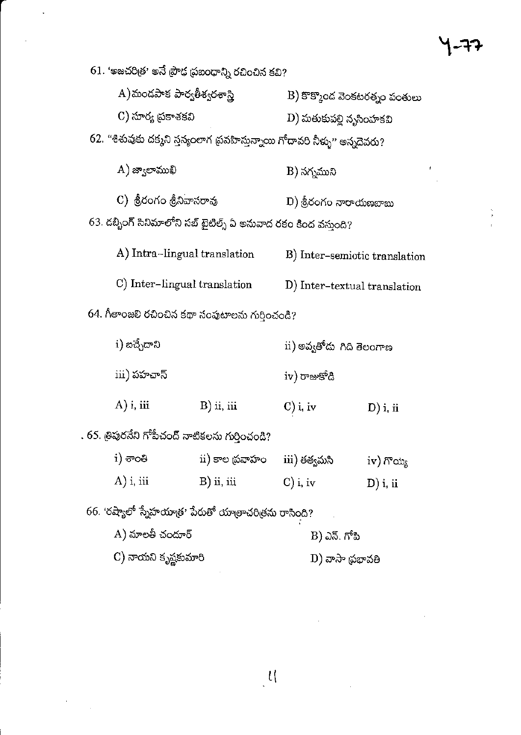|                                                  |                              | $61.$ 'అజచరిత్ర' అనే ప్రౌఢ ప్రబంధాన్ని రచించిన కవి?                         |                                             |             |  |
|--------------------------------------------------|------------------------------|-----------------------------------------------------------------------------|---------------------------------------------|-------------|--|
|                                                  | A)మండపాక పార్వతీశ్వరశాస్త్రి |                                                                             | $\ket{\text{B}}$ కొక్కొంద వెంకటరత్నం పంతులు |             |  |
|                                                  | C) సూర్య ప్రకాశకవి           |                                                                             | D) మతుకుపల్లి నృసింహకవి                     |             |  |
|                                                  |                              | 62. "శిశువుకు దక్మని స్తన్యంలాగ ప్రవహిస్తున్నాయి గోదావరి నీళ్ళు" అన్నదెవరు? |                                             |             |  |
|                                                  | $(A)$ జ్వాలాముఖి             |                                                                             | B) నగ్నముని                                 |             |  |
|                                                  | C) శ్రీరంగం శ్రీనివాసరావు    |                                                                             | - D) శ్రీరంగం నారాయణబాబు                    |             |  |
|                                                  |                              | 63. డబ్బింగ్ సినిమాలోని సబ్ టైటిల్స్ ఏ అనువాద రకం కింద వస్తుంది?            |                                             |             |  |
|                                                  | A) Intra-lingual translation |                                                                             | B) Inter-semiotic translation               |             |  |
|                                                  | C) Inter-lingual translation |                                                                             | D) Inter-textual translation                |             |  |
| 64. గీతాంజలి రచించిన కథా సంపుటాలను గుర్తించండి?  |                              |                                                                             |                                             |             |  |
|                                                  | i) ఐచ్చేదాని                 |                                                                             | ii) అవ్వతోదు  గిది తెలంగాణ                  |             |  |
|                                                  | iii) పహచాన్                  |                                                                             | iv) రాజుకోడి                                |             |  |
|                                                  | $(A)$ i, iii                 | $B)$ ii, iii                                                                | $\mathbf{C}$ ) i, iv                        | $D)$ i, ii  |  |
| . 65. త్రిపురనేని గోపీచంద్ నాటికలను గుర్తించండి? |                              |                                                                             |                                             |             |  |
|                                                  | i) ಕಾಂತಿ                     | ii) కాల థవాహం                                                               | iii) తత్వమసి                                | $iv)$ గొయ్య |  |
|                                                  | A) i, iii                    | $B)$ ii, iii                                                                | $C$ ) i, iv                                 | $D)$ i, ii  |  |
|                                                  |                              | 66. 'రష్యాలో స్నేహయాత్ర' పేరుతో యాత్రాచరిత్రను రాసింది?                     |                                             |             |  |
|                                                  | A) మాలతీ చందూర్              |                                                                             | B) ఎన్. గోపి                                |             |  |
|                                                  | C) నాయని కృష్ణకుమారి         |                                                                             | D) వాసా ప్రభావతి                            |             |  |
|                                                  |                              |                                                                             |                                             |             |  |

 $\frac{1}{2}$ 

 $\mathcal{L}^{(1)}$ 

 $\label{eq:2.1} \frac{1}{\sqrt{2}}\left(\frac{1}{\sqrt{2}}\right)^{2} \left(\frac{1}{\sqrt{2}}\right)^{2} \left(\frac{1}{\sqrt{2}}\right)^{2} \left(\frac{1}{\sqrt{2}}\right)^{2} \left(\frac{1}{\sqrt{2}}\right)^{2} \left(\frac{1}{\sqrt{2}}\right)^{2} \left(\frac{1}{\sqrt{2}}\right)^{2} \left(\frac{1}{\sqrt{2}}\right)^{2} \left(\frac{1}{\sqrt{2}}\right)^{2} \left(\frac{1}{\sqrt{2}}\right)^{2} \left(\frac{1}{\sqrt{2}}\right)^{2} \left(\$ 

 $\label{eq:2.1} \frac{1}{\sqrt{2}}\int_{\mathbb{R}^3}\frac{1}{\sqrt{2}}\left(\frac{1}{\sqrt{2}}\int_{\mathbb{R}^3}\frac{1}{\sqrt{2}}\left(\frac{1}{\sqrt{2}}\int_{\mathbb{R}^3}\frac{1}{\sqrt{2}}\right)\left(\frac{1}{\sqrt{2}}\int_{\mathbb{R}^3}\frac{1}{\sqrt{2}}\right)\left(\frac{1}{\sqrt{2}}\int_{\mathbb{R}^3}\frac{1}{\sqrt{2}}\int_{\mathbb{R}^3}\frac{1}{\sqrt{2}}\int_{\mathbb{R}^3}\frac{1}{\sqrt{2}}\left$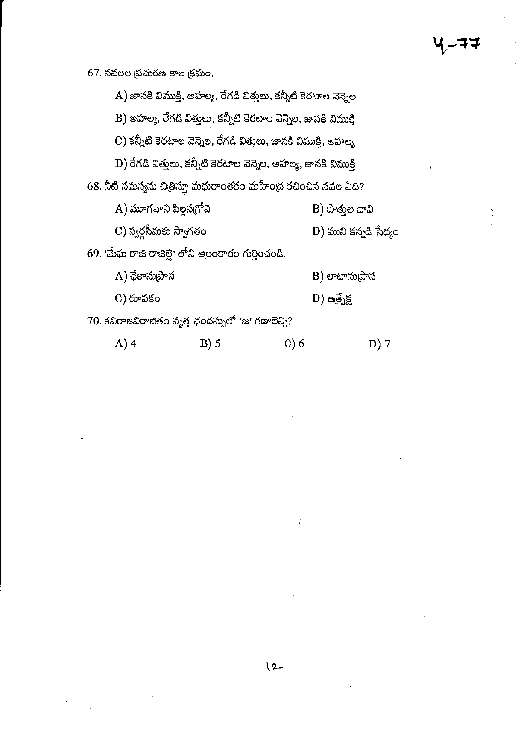### $67.$  నవలల ప్రచురణ కాల క్రమం.

| A) జానకి విముక్తి, అహల్య, రేగడి విత్తులు, కన్నీటి కెరటాల వెన్నెల |                                                                  |  |  |  |  |
|------------------------------------------------------------------|------------------------------------------------------------------|--|--|--|--|
|                                                                  | B) అహల్య, రేగడి విత్తులు, కన్నీటి కెరటాల వెన్నెల, జానకి విముక్తి |  |  |  |  |
|                                                                  | C) కన్నీటి కెరటాల వెన్నెల, రేగడి విత్తులు, జానకి విముక్తి, అహల్య |  |  |  |  |
| D) రేగడి విత్తులు, కన్నీటి కెరటాల వెన్నెల, అహల్య, జానకి విముక్తి |                                                                  |  |  |  |  |
| 68. నీటి సమస్యను చిత్రిస్తూ మధురాంతకం మహేంద్ర రచించిన నవల ఏది?   |                                                                  |  |  |  |  |
| A) మూగవాని పిల్లన <sub>(</sub> గోవి                              | B) పొత్తుల బావి                                                  |  |  |  |  |
| C) స్వర్గసీమకు స్వాగతం                                           | D) ముని కన్నడి సేద్యం                                            |  |  |  |  |
| 69. 'మేఘ రాజి రాజిల్లె' లోని అలంకారం గురించండి.                  |                                                                  |  |  |  |  |
| A) ఛేకానుప్రాస                                                   | B) లాటాను[పాస                                                    |  |  |  |  |
| C) రూపకం                                                         | D) ఉత్పేక్ష                                                      |  |  |  |  |
| 70. కవిరాజవిరాజితం వృత్త ఛందస్సులో 'జ' గణాలెన్ని?                |                                                                  |  |  |  |  |
|                                                                  |                                                                  |  |  |  |  |

A)  $4$  $B)$  5  $C) 6$ D) 7

 $\tilde{\varphi}$ 

## すす

ķ